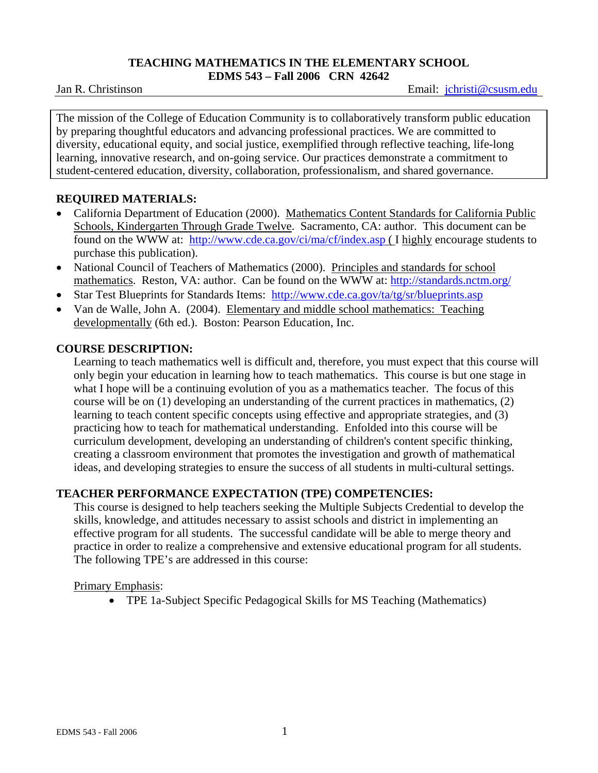#### **TEACHING MATHEMATICS IN THE ELEMENTARY SCHOOL EDMS 543 – Fall 2006 CRN 42642**

Jan R. ChristinsonEmail: jchristi@csusm.edu

The mission of the College of Education Community is to collaboratively transform public education by preparing thoughtful educators and advancing professional practices. We are committed to diversity, educational equity, and social justice, exemplified through reflective teaching, life-long learning, innovative research, and on-going service. Our practices demonstrate a commitment to student-centered education, diversity, collaboration, professionalism, and shared governance.

## **REQUIRED MATERIALS:**

- California Department of Education (2000). Mathematics Content Standards for California Public Schools, Kindergarten Through Grade Twelve. Sacramento, CA: author. This document can be found on the WWW at: http://www.cde.ca.gov/ci/ma/cf/index.asp ( I highly encourage students to purchase this publication).
- National Council of Teachers of Mathematics (2000). Principles and standards for school mathematics. Reston, VA: author. Can be found on the WWW at: http://standards.nctm.org/
- Star Test Blueprints for Standards Items: http://www.cde.ca.gov/ta/tg/sr/blueprints.asp
- Van de Walle, John A. (2004). Elementary and middle school mathematics: Teaching developmentally (6th ed.). Boston: Pearson Education, Inc.

## **COURSE DESCRIPTION:**

Learning to teach mathematics well is difficult and, therefore, you must expect that this course will only begin your education in learning how to teach mathematics. This course is but one stage in what I hope will be a continuing evolution of you as a mathematics teacher. The focus of this course will be on (1) developing an understanding of the current practices in mathematics, (2) learning to teach content specific concepts using effective and appropriate strategies, and (3) practicing how to teach for mathematical understanding. Enfolded into this course will be curriculum development, developing an understanding of children's content specific thinking, creating a classroom environment that promotes the investigation and growth of mathematical ideas, and developing strategies to ensure the success of all students in multi-cultural settings.

# **TEACHER PERFORMANCE EXPECTATION (TPE) COMPETENCIES:**

This course is designed to help teachers seeking the Multiple Subjects Credential to develop the skills, knowledge, and attitudes necessary to assist schools and district in implementing an effective program for all students. The successful candidate will be able to merge theory and practice in order to realize a comprehensive and extensive educational program for all students. The following TPE's are addressed in this course:

## Primary Emphasis:

• TPE 1a-Subject Specific Pedagogical Skills for MS Teaching (Mathematics)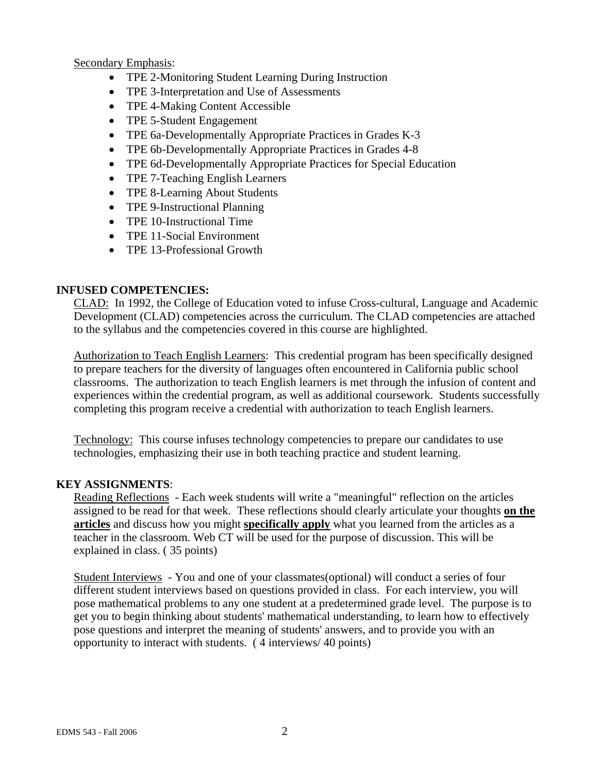Secondary Emphasis:

- TPE 2-Monitoring Student Learning During Instruction
- TPE 3-Interpretation and Use of Assessments
- TPE 4-Making Content Accessible
- TPE 5-Student Engagement
- TPE 6a-Developmentally Appropriate Practices in Grades K-3
- TPE 6b-Developmentally Appropriate Practices in Grades 4-8
- TPE 6d-Developmentally Appropriate Practices for Special Education
- TPE 7-Teaching English Learners
- TPE 8-Learning About Students
- TPE 9-Instructional Planning
- TPE 10-Instructional Time
- TPE 11-Social Environment
- TPE 13-Professional Growth

# **INFUSED COMPETENCIES:**

CLAD: In 1992, the College of Education voted to infuse Cross-cultural, Language and Academic Development (CLAD) competencies across the curriculum. The CLAD competencies are attached to the syllabus and the competencies covered in this course are highlighted.

Authorization to Teach English Learners: This credential program has been specifically designed to prepare teachers for the diversity of languages often encountered in California public school classrooms. The authorization to teach English learners is met through the infusion of content and experiences within the credential program, as well as additional coursework. Students successfully completing this program receive a credential with authorization to teach English learners.

Technology: This course infuses technology competencies to prepare our candidates to use technologies, emphasizing their use in both teaching practice and student learning.

# **KEY ASSIGNMENTS**:

Reading Reflections - Each week students will write a "meaningful" reflection on the articles assigned to be read for that week. These reflections should clearly articulate your thoughts **on the articles** and discuss how you might **specifically apply** what you learned from the articles as a teacher in the classroom. Web CT will be used for the purpose of discussion. This will be explained in class. ( 35 points)

Student Interviews - You and one of your classmates(optional) will conduct a series of four different student interviews based on questions provided in class. For each interview, you will pose mathematical problems to any one student at a predetermined grade level. The purpose is to get you to begin thinking about students' mathematical understanding, to learn how to effectively pose questions and interpret the meaning of students' answers, and to provide you with an opportunity to interact with students. ( 4 interviews/ 40 points)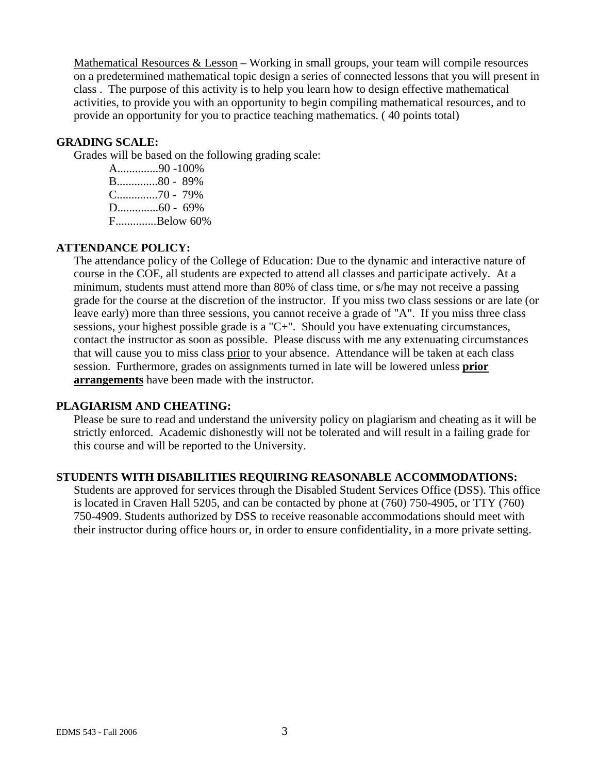Mathematical Resources  $&$  Lesson – Working in small groups, your team will compile resources on a predetermined mathematical topic design a series of connected lessons that you will present in class . The purpose of this activity is to help you learn how to design effective mathematical activities, to provide you with an opportunity to begin compiling mathematical resources, and to provide an opportunity for you to practice teaching mathematics. ( 40 points total)

#### **GRADING SCALE:**

Grades will be based on the following grading scale:

A..............90 -100% B..............80 - 89% C..............70 - 79% D..............60 - 69% F..............Below 60%

## **ATTENDANCE POLICY:**

The attendance policy of the College of Education: Due to the dynamic and interactive nature of course in the COE, all students are expected to attend all classes and participate actively. At a minimum, students must attend more than 80% of class time, or s/he may not receive a passing grade for the course at the discretion of the instructor. If you miss two class sessions or are late (or leave early) more than three sessions, you cannot receive a grade of "A". If you miss three class sessions, your highest possible grade is a "C+". Should you have extenuating circumstances, contact the instructor as soon as possible. Please discuss with me any extenuating circumstances that will cause you to miss class prior to your absence. Attendance will be taken at each class session. Furthermore, grades on assignments turned in late will be lowered unless **prior arrangements** have been made with the instructor.

#### **PLAGIARISM AND CHEATING:**

Please be sure to read and understand the university policy on plagiarism and cheating as it will be strictly enforced. Academic dishonestly will not be tolerated and will result in a failing grade for this course and will be reported to the University.

#### **STUDENTS WITH DISABILITIES REQUIRING REASONABLE ACCOMMODATIONS:**

Students are approved for services through the Disabled Student Services Office (DSS). This office is located in Craven Hall 5205, and can be contacted by phone at (760) 750-4905, or TTY (760) 750-4909. Students authorized by DSS to receive reasonable accommodations should meet with their instructor during office hours or, in order to ensure confidentiality, in a more private setting.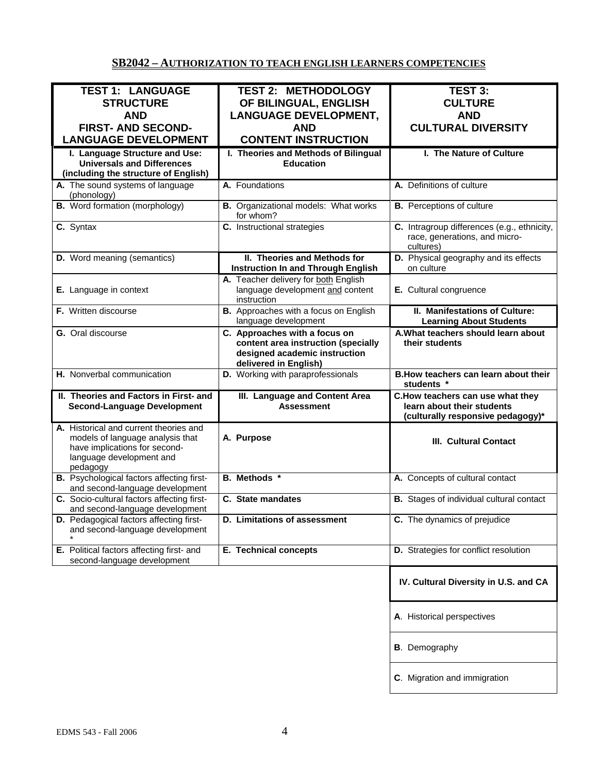# **SB2042 – AUTHORIZATION TO TEACH ENGLISH LEARNERS COMPETENCIES**

| <b>TEST 1: LANGUAGE</b><br><b>STRUCTURE</b>                                                                                                         | <b>TEST 2: METHODOLOGY</b><br>OF BILINGUAL, ENGLISH                                                                            | <b>TEST 3:</b><br><b>CULTURE</b>                                                                    |
|-----------------------------------------------------------------------------------------------------------------------------------------------------|--------------------------------------------------------------------------------------------------------------------------------|-----------------------------------------------------------------------------------------------------|
| <b>AND</b><br><b>FIRST- AND SECOND-</b>                                                                                                             | <b>LANGUAGE DEVELOPMENT,</b><br><b>AND</b>                                                                                     | <b>AND</b><br><b>CULTURAL DIVERSITY</b>                                                             |
| <b>LANGUAGE DEVELOPMENT</b>                                                                                                                         | <b>CONTENT INSTRUCTION</b>                                                                                                     |                                                                                                     |
| I. Language Structure and Use:<br><b>Universals and Differences</b><br>(including the structure of English)                                         | I. Theories and Methods of Bilingual<br><b>Education</b>                                                                       | I. The Nature of Culture                                                                            |
| A. The sound systems of language<br>(phonology)                                                                                                     | A. Foundations                                                                                                                 | A. Definitions of culture                                                                           |
| <b>B.</b> Word formation (morphology)                                                                                                               | <b>B.</b> Organizational models: What works<br>for whom?                                                                       | <b>B.</b> Perceptions of culture                                                                    |
| C. Syntax                                                                                                                                           | C. Instructional strategies                                                                                                    | C. Intragroup differences (e.g., ethnicity,<br>race, generations, and micro-<br>cultures)           |
| <b>D.</b> Word meaning (semantics)                                                                                                                  | II. Theories and Methods for<br><b>Instruction In and Through English</b>                                                      | D. Physical geography and its effects<br>on culture                                                 |
| E. Language in context                                                                                                                              | A. Teacher delivery for both English<br>language development and content<br>instruction                                        | E. Cultural congruence                                                                              |
| F. Written discourse                                                                                                                                | B. Approaches with a focus on English<br>language development                                                                  | II. Manifestations of Culture:<br><b>Learning About Students</b>                                    |
| G. Oral discourse                                                                                                                                   | C. Approaches with a focus on<br>content area instruction (specially<br>designed academic instruction<br>delivered in English) | A. What teachers should learn about<br>their students                                               |
| H. Nonverbal communication                                                                                                                          | D. Working with paraprofessionals                                                                                              | B. How teachers can learn about their<br>students *                                                 |
| II. Theories and Factors in First- and<br><b>Second-Language Development</b>                                                                        | III. Language and Content Area<br><b>Assessment</b>                                                                            | C.How teachers can use what they<br>learn about their students<br>(culturally responsive pedagogy)* |
| A. Historical and current theories and<br>models of language analysis that<br>have implications for second-<br>language development and<br>pedagogy | A. Purpose                                                                                                                     | <b>III. Cultural Contact</b>                                                                        |
| <b>B.</b> Psychological factors affecting first-<br>and second-language development                                                                 | <b>B.</b> Methods *                                                                                                            | A. Concepts of cultural contact                                                                     |
| C. Socio-cultural factors affecting first-<br>and second-language development                                                                       | C. State mandates                                                                                                              | <b>B.</b> Stages of individual cultural contact                                                     |
| D. Pedagogical factors affecting first-<br>and second-language development                                                                          | <b>D.</b> Limitations of assessment                                                                                            | C. The dynamics of prejudice                                                                        |
| E. Political factors affecting first- and<br>second-language development                                                                            | <b>E. Technical concepts</b>                                                                                                   | D. Strategies for conflict resolution                                                               |
|                                                                                                                                                     |                                                                                                                                | IV. Cultural Diversity in U.S. and CA                                                               |
|                                                                                                                                                     |                                                                                                                                | A. Historical perspectives                                                                          |
|                                                                                                                                                     |                                                                                                                                | <b>B.</b> Demography                                                                                |
|                                                                                                                                                     |                                                                                                                                | C. Migration and immigration                                                                        |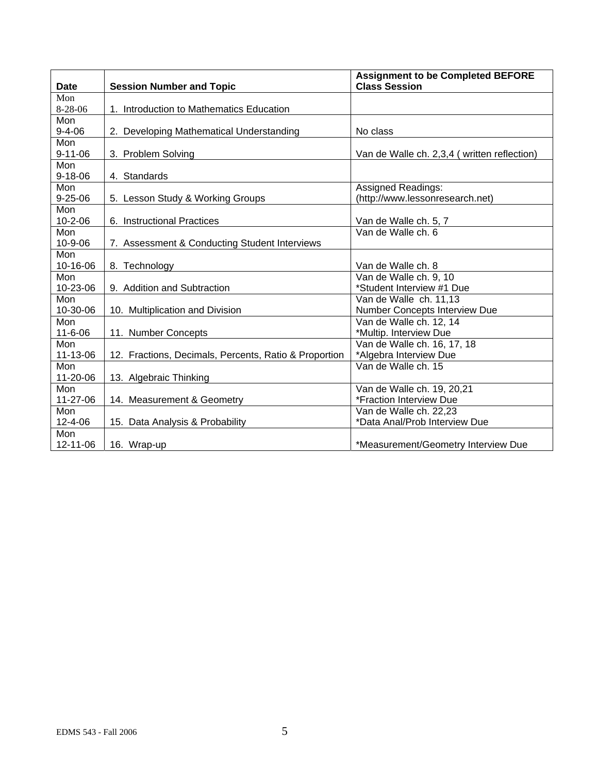| <b>Date</b>   | <b>Session Number and Topic</b>                       | <b>Assignment to be Completed BEFORE</b><br><b>Class Session</b> |
|---------------|-------------------------------------------------------|------------------------------------------------------------------|
| Mon           |                                                       |                                                                  |
| 8-28-06       | 1. Introduction to Mathematics Education              |                                                                  |
| Mon           |                                                       |                                                                  |
| $9 - 4 - 06$  | 2. Developing Mathematical Understanding              | No class                                                         |
| <b>Mon</b>    |                                                       |                                                                  |
| $9 - 11 - 06$ | 3. Problem Solving                                    | Van de Walle ch. 2,3,4 (written reflection)                      |
| Mon           |                                                       |                                                                  |
| $9 - 18 - 06$ | 4. Standards                                          |                                                                  |
| Mon           |                                                       | <b>Assigned Readings:</b>                                        |
| $9 - 25 - 06$ | 5. Lesson Study & Working Groups                      | (http://www.lessonresearch.net)                                  |
| Mon           |                                                       |                                                                  |
| $10 - 2 - 06$ | 6. Instructional Practices                            | Van de Walle ch. 5, 7                                            |
| Mon           |                                                       | Van de Walle ch. 6                                               |
| 10-9-06       | 7. Assessment & Conducting Student Interviews         |                                                                  |
| Mon           |                                                       |                                                                  |
| 10-16-06      | 8. Technology                                         | Van de Walle ch. 8                                               |
| Mon           |                                                       | Van de Walle ch. 9, 10                                           |
| 10-23-06      | 9. Addition and Subtraction                           | *Student Interview #1 Due                                        |
| Mon           |                                                       | Van de Walle ch. 11,13                                           |
| 10-30-06      | 10. Multiplication and Division                       | Number Concepts Interview Due                                    |
| Mon           |                                                       | Van de Walle ch. 12, 14                                          |
| $11 - 6 - 06$ | 11. Number Concepts                                   | *Multip. Interview Due                                           |
| Mon           |                                                       | Van de Walle ch. 16, 17, 18                                      |
| 11-13-06      | 12. Fractions, Decimals, Percents, Ratio & Proportion | *Algebra Interview Due                                           |
| Mon           |                                                       | Van de Walle ch. 15                                              |
| 11-20-06      | 13. Algebraic Thinking                                |                                                                  |
| Mon           |                                                       | Van de Walle ch. 19, 20,21                                       |
| 11-27-06      | 14. Measurement & Geometry                            | *Fraction Interview Due                                          |
| Mon           |                                                       | Van de Walle ch. 22,23                                           |
| 12-4-06       | 15. Data Analysis & Probability                       | *Data Anal/Prob Interview Due                                    |
| Mon           |                                                       |                                                                  |
| 12-11-06      | 16. Wrap-up                                           | *Measurement/Geometry Interview Due                              |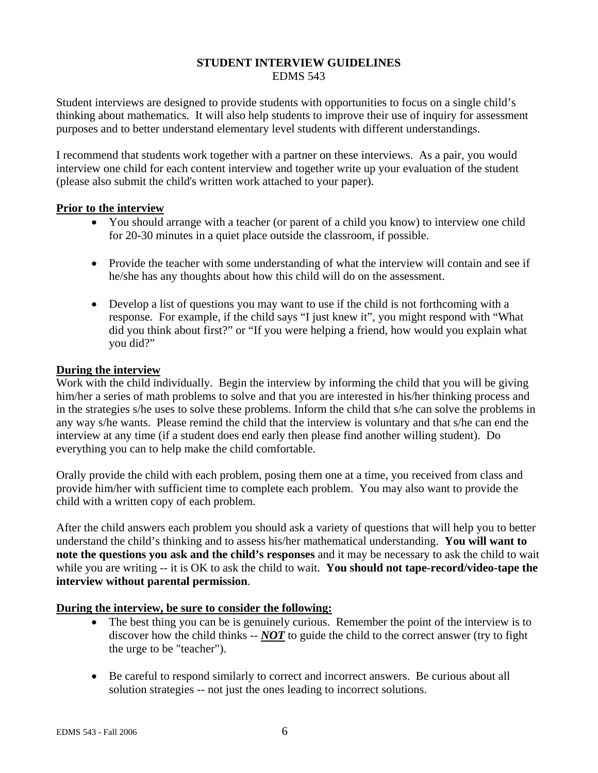#### **STUDENT INTERVIEW GUIDELINES**  EDMS 543

Student interviews are designed to provide students with opportunities to focus on a single child's thinking about mathematics. It will also help students to improve their use of inquiry for assessment purposes and to better understand elementary level students with different understandings.

I recommend that students work together with a partner on these interviews. As a pair, you would interview one child for each content interview and together write up your evaluation of the student (please also submit the child's written work attached to your paper).

## **Prior to the interview**

- You should arrange with a teacher (or parent of a child you know) to interview one child for 20-30 minutes in a quiet place outside the classroom, if possible.
- Provide the teacher with some understanding of what the interview will contain and see if he/she has any thoughts about how this child will do on the assessment.
- Develop a list of questions you may want to use if the child is not forthcoming with a response. For example, if the child says "I just knew it", you might respond with "What did you think about first?" or "If you were helping a friend, how would you explain what you did?"

#### **During the interview**

Work with the child individually. Begin the interview by informing the child that you will be giving him/her a series of math problems to solve and that you are interested in his/her thinking process and in the strategies s/he uses to solve these problems. Inform the child that s/he can solve the problems in any way s/he wants. Please remind the child that the interview is voluntary and that s/he can end the interview at any time (if a student does end early then please find another willing student). Do everything you can to help make the child comfortable.

Orally provide the child with each problem, posing them one at a time, you received from class and provide him/her with sufficient time to complete each problem. You may also want to provide the child with a written copy of each problem.

After the child answers each problem you should ask a variety of questions that will help you to better understand the child's thinking and to assess his/her mathematical understanding. **You will want to note the questions you ask and the child's responses** and it may be necessary to ask the child to wait while you are writing -- it is OK to ask the child to wait. **You should not tape-record/video-tape the interview without parental permission**.

## **During the interview, be sure to consider the following:**

- The best thing you can be is genuinely curious. Remember the point of the interview is to discover how the child thinks -- *NOT* to guide the child to the correct answer (try to fight the urge to be "teacher").
- Be careful to respond similarly to correct and incorrect answers. Be curious about all solution strategies -- not just the ones leading to incorrect solutions.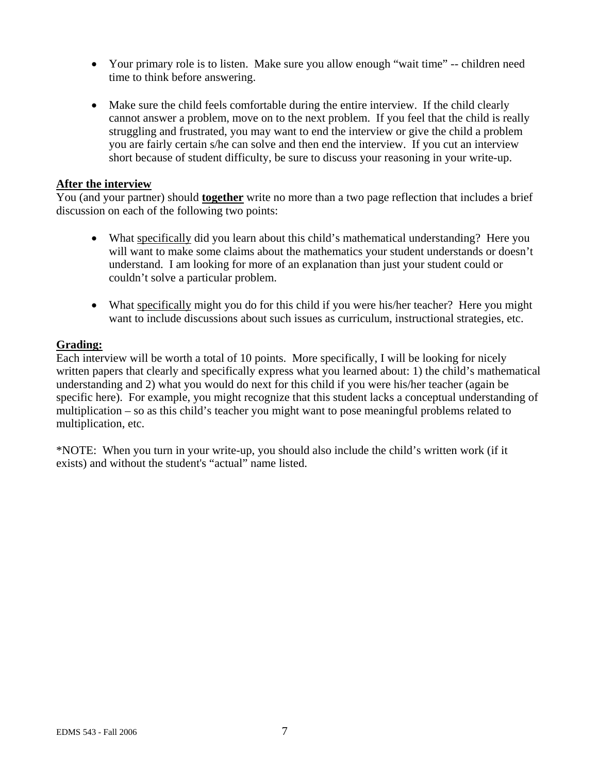- Your primary role is to listen. Make sure you allow enough "wait time" -- children need time to think before answering.
- Make sure the child feels comfortable during the entire interview. If the child clearly cannot answer a problem, move on to the next problem. If you feel that the child is really struggling and frustrated, you may want to end the interview or give the child a problem you are fairly certain s/he can solve and then end the interview. If you cut an interview short because of student difficulty, be sure to discuss your reasoning in your write-up.

#### **After the interview**

You (and your partner) should **together** write no more than a two page reflection that includes a brief discussion on each of the following two points:

- What specifically did you learn about this child's mathematical understanding? Here you will want to make some claims about the mathematics your student understands or doesn't understand. I am looking for more of an explanation than just your student could or couldn't solve a particular problem.
- What specifically might you do for this child if you were his/her teacher? Here you might want to include discussions about such issues as curriculum, instructional strategies, etc.

## **Grading:**

Each interview will be worth a total of 10 points. More specifically, I will be looking for nicely written papers that clearly and specifically express what you learned about: 1) the child's mathematical understanding and 2) what you would do next for this child if you were his/her teacher (again be specific here). For example, you might recognize that this student lacks a conceptual understanding of multiplication – so as this child's teacher you might want to pose meaningful problems related to multiplication, etc.

\*NOTE: When you turn in your write-up, you should also include the child's written work (if it exists) and without the student's "actual" name listed.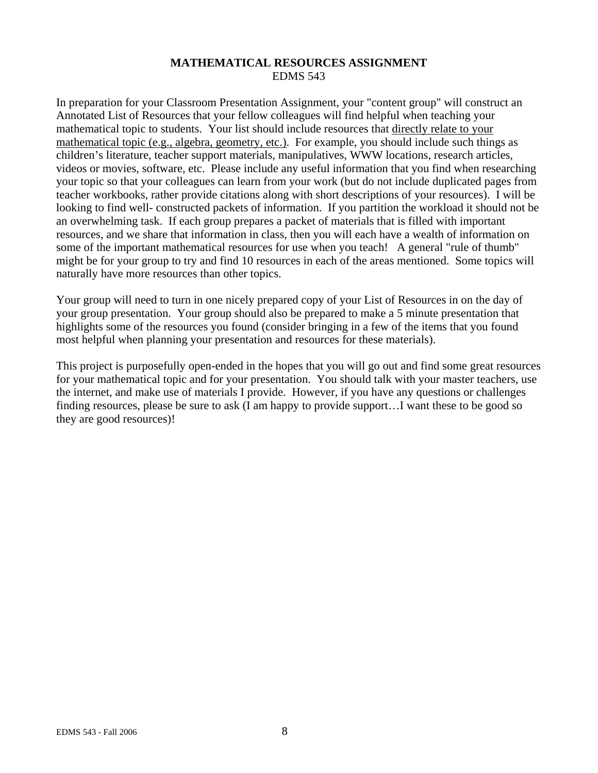## **MATHEMATICAL RESOURCES ASSIGNMENT**  EDMS 543

In preparation for your Classroom Presentation Assignment, your "content group" will construct an Annotated List of Resources that your fellow colleagues will find helpful when teaching your mathematical topic to students. Your list should include resources that directly relate to your mathematical topic (e.g., algebra, geometry, etc.). For example, you should include such things as children's literature, teacher support materials, manipulatives, WWW locations, research articles, videos or movies, software, etc. Please include any useful information that you find when researching your topic so that your colleagues can learn from your work (but do not include duplicated pages from teacher workbooks, rather provide citations along with short descriptions of your resources). I will be looking to find well- constructed packets of information. If you partition the workload it should not be an overwhelming task. If each group prepares a packet of materials that is filled with important resources, and we share that information in class, then you will each have a wealth of information on some of the important mathematical resources for use when you teach! A general "rule of thumb" might be for your group to try and find 10 resources in each of the areas mentioned. Some topics will naturally have more resources than other topics.

Your group will need to turn in one nicely prepared copy of your List of Resources in on the day of your group presentation. Your group should also be prepared to make a 5 minute presentation that highlights some of the resources you found (consider bringing in a few of the items that you found most helpful when planning your presentation and resources for these materials).

This project is purposefully open-ended in the hopes that you will go out and find some great resources for your mathematical topic and for your presentation. You should talk with your master teachers, use the internet, and make use of materials I provide. However, if you have any questions or challenges finding resources, please be sure to ask (I am happy to provide support…I want these to be good so they are good resources)!